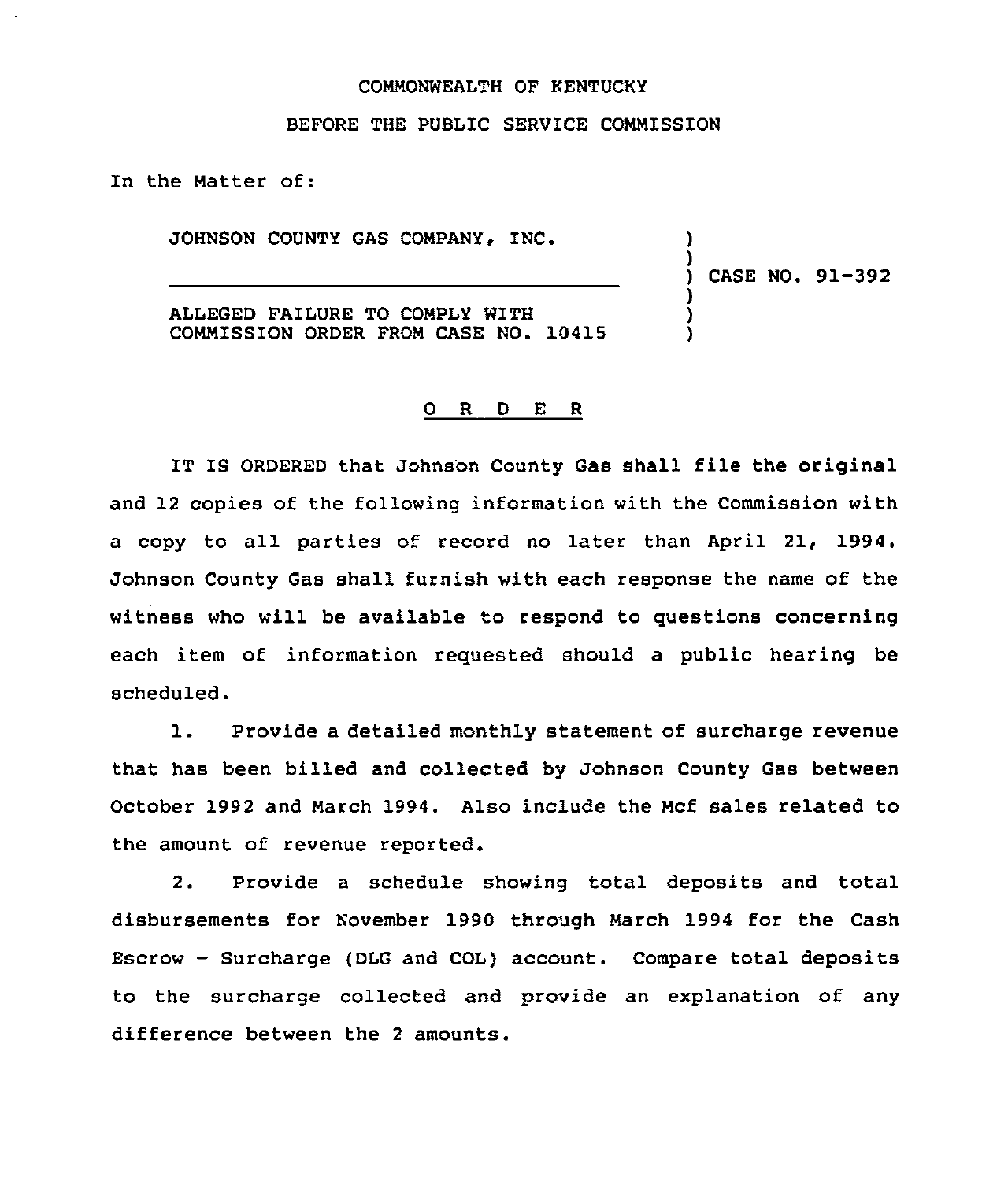## COMMONWEALTH OF KENTUCKY

## BEFORE THE PUBLIC SERVICE COMMISSION

In the Matter of:

JOHNSON COUNTY GAS COMPANY, INC.

) CASE NO. 91-392

) )

) ) )

ALLEGED FAILURE TO COMPLY WITH COMMISSION ORDER FROM CASE NO. 10419

## Q R D E R

IT IS ORDERED that Johnson County Gas shall file the original and 12 copies of the following information with the Commission with a copy to all parties of record no later than April 21, 1994. Johnson County Gas shall furnish with each response the name of the witness who will be available to respond to questions concerning each item of information requested should a public hearing be scheduled.

1. Provide <sup>a</sup> detailed monthly statement of surcharge revenue that has been billed and collected by Johnson County Gas between October 1992 and March 1994. Also include the Mcf sales related to the amount of revenue reported.

2. Provide a schedule showing total deposits and total disbursements for November 1990 through March 1994 for the Cash Escrow - Surcharge (DLG and COL) account. Compare total deposits to the surcharge collected and provide an explanation of any difference between the <sup>2</sup> amounts.